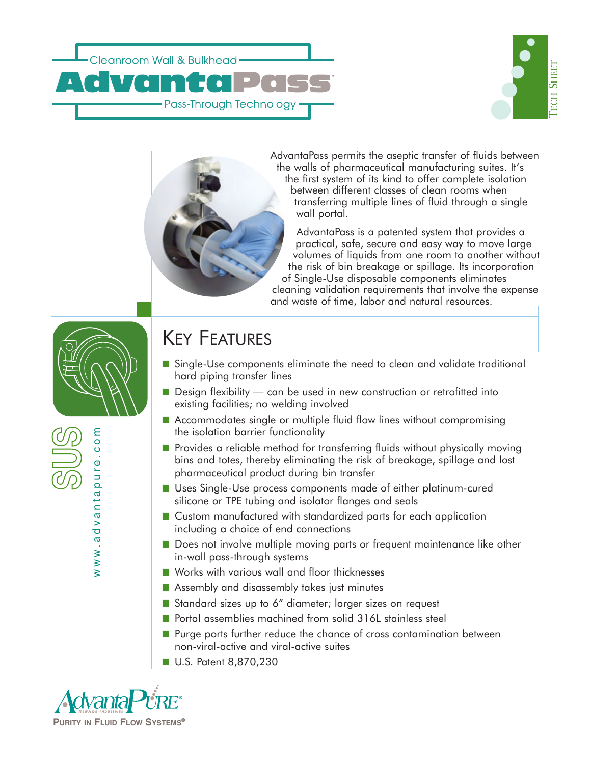



AdvantaPass permits the aseptic transfer of fluids between the walls of pharmaceutical manufacturing suites. It's the first system of its kind to offer complete isolation between different classes of clean rooms when transferring multiple lines of fluid through a single wall portal.

AdvantaPass is a patented system that provides a practical, safe, secure and easy way to move large volumes of liquids from one room to another without the risk of bin breakage or spillage. Its incorporation of Single-Use disposable components eliminates cleaning validation requirements that involve the expense and waste of time, labor and natural resources.



www.advantapure.com

www.advanta

pur

e.com

## KEY FEATURES

- Single-Use components eliminate the need to clean and validate traditional hard piping transfer lines
- Design flexibility can be used in new construction or retrofitted into existing facilities; no welding involved
- Accommodates single or multiple fluid flow lines without compromising the isolation barrier functionality
- Provides a reliable method for transferring fluids without physically moving bins and totes, thereby eliminating the risk of breakage, spillage and lost pharmaceutical product during bin transfer
- Uses Single-Use process components made of either platinum-cured silicone or TPE tubing and isolator flanges and seals
- Custom manufactured with standardized parts for each application including a choice of end connections
- Does not involve multiple moving parts or frequent maintenance like other in-wall pass-through systems
- Works with various wall and floor thicknesses
- Assembly and disassembly takes just minutes
- Standard sizes up to 6" diameter; larger sizes on request
- Portal assemblies machined from solid 316L stainless steel
- Purge ports further reduce the chance of cross contamination between non-viral-active and viral-active suites
- U.S. Patent 8,870,230

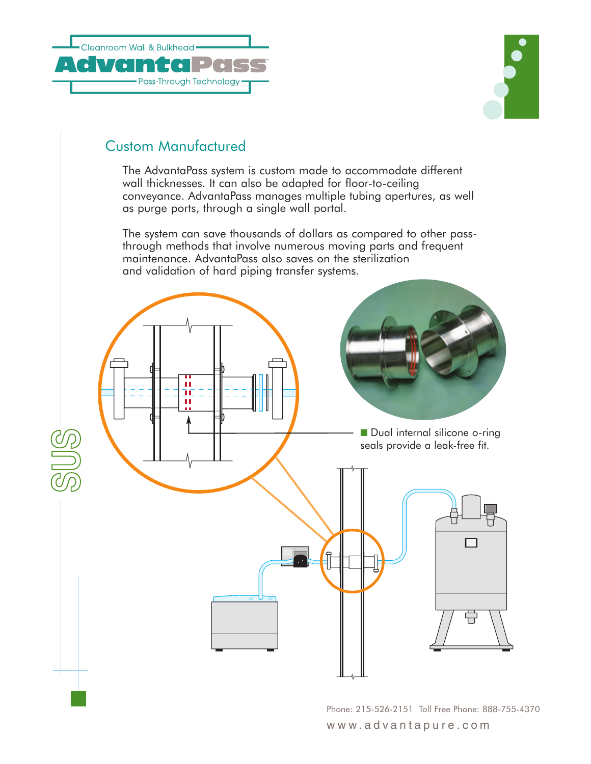



### Custom Manufactured

The AdvantaPass system is custom made to accommodate different wall thicknesses. It can also be adapted for floor-to-ceiling conveyance. AdvantaPass manages multiple tubing apertures, as well as purge ports, through a single wall portal.

The system can save thousands of dollars as compared to other passthrough methods that involve numerous moving parts and frequent maintenance. AdvantaPass also saves on the sterilization and validation of hard piping transfer systems.



Phone: 215-526-2151 Toll Free Phone: 888-755-4370 www.advantapure.com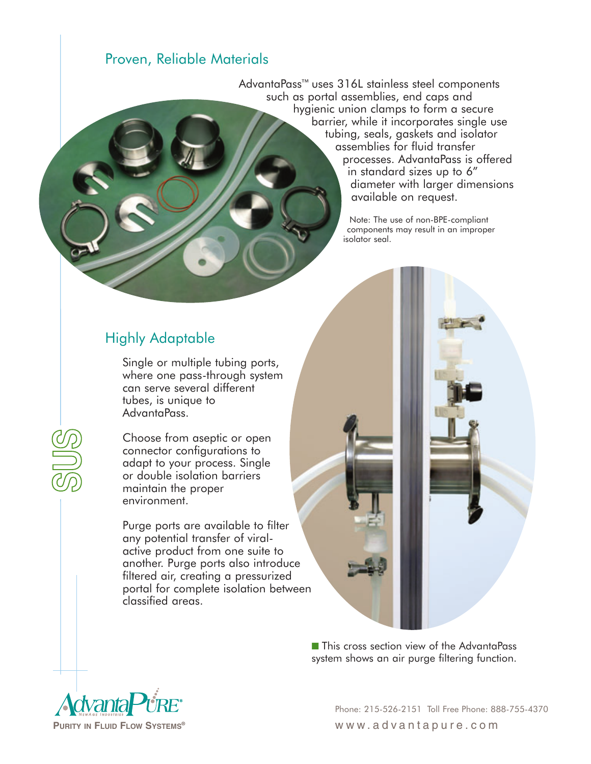#### Proven, Reliable Materials

AdvantaPass™ uses 316L stainless steel components such as portal assemblies, end caps and hygienic union clamps to form a secure barrier, while it incorporates single use tubing, seals, gaskets and isolator assemblies for fluid transfer processes. AdvantaPass is offered in standard sizes up to 6" diameter with larger dimensions available on request.

> Note: The use of non-BPE-compliant components may result in an improper isolator seal.

### Highly Adaptable

Single or multiple tubing ports, where one pass-through system can serve several different tubes, is unique to AdvantaPass.

Choose from aseptic or open connector configurations to adapt to your process. Single or double isolation barriers maintain the proper environment.

Purge ports are available to filter any potential transfer of viralactive product from one suite to another. Purge ports also introduce filtered air, creating a pressurized portal for complete isolation between classified areas.

> ■ This cross section view of the AdvantaPass system shows an air purge filtering function.



Phone: 215-526-2151 Toll Free Phone: 888-755-4370 **PURITY IN FLUID FLOW SYSTEMS®** www.advantapure.com